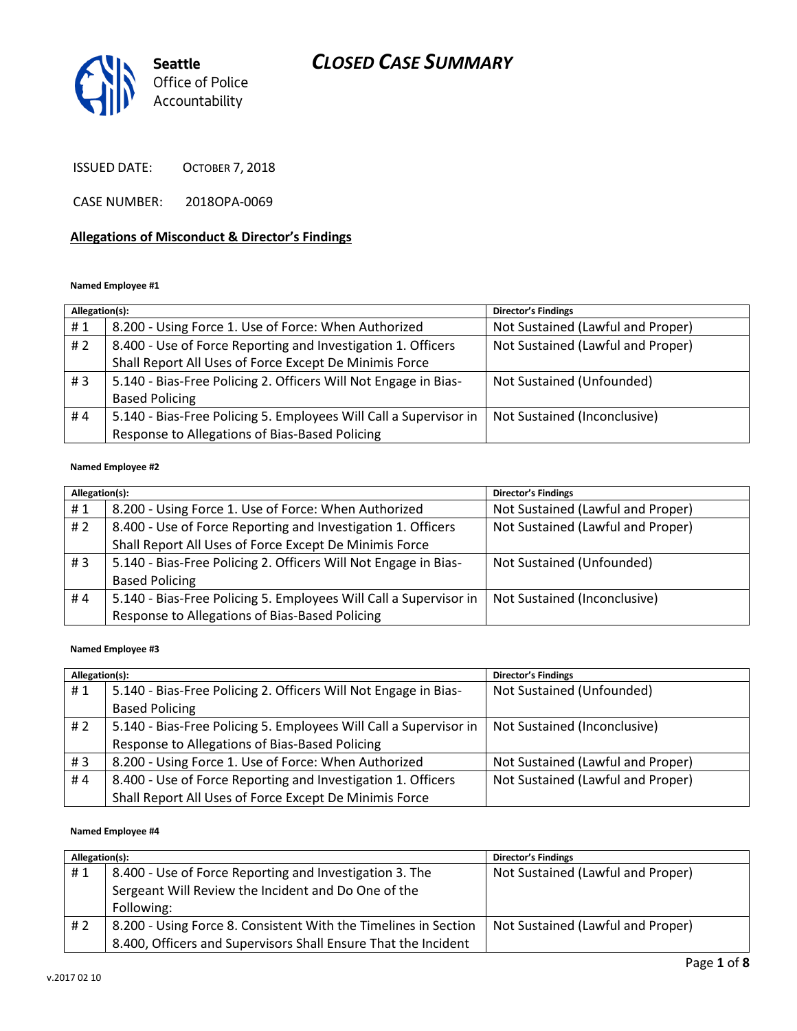

ISSUED DATE: OCTOBER 7, 2018

CASE NUMBER: 2018OPA-0069

#### **Allegations of Misconduct & Director's Findings**

#### **Named Employee #1**

| Allegation(s): |                                                                   | <b>Director's Findings</b>        |
|----------------|-------------------------------------------------------------------|-----------------------------------|
| #1             | 8.200 - Using Force 1. Use of Force: When Authorized              | Not Sustained (Lawful and Proper) |
| #2             | 8.400 - Use of Force Reporting and Investigation 1. Officers      | Not Sustained (Lawful and Proper) |
|                | Shall Report All Uses of Force Except De Minimis Force            |                                   |
| #3             | 5.140 - Bias-Free Policing 2. Officers Will Not Engage in Bias-   | Not Sustained (Unfounded)         |
|                | <b>Based Policing</b>                                             |                                   |
| #4             | 5.140 - Bias-Free Policing 5. Employees Will Call a Supervisor in | Not Sustained (Inconclusive)      |
|                | Response to Allegations of Bias-Based Policing                    |                                   |

#### **Named Employee #2**

| Allegation(s): |                                                                   | <b>Director's Findings</b>        |
|----------------|-------------------------------------------------------------------|-----------------------------------|
| #1             | 8.200 - Using Force 1. Use of Force: When Authorized              | Not Sustained (Lawful and Proper) |
| # $2$          | 8.400 - Use of Force Reporting and Investigation 1. Officers      | Not Sustained (Lawful and Proper) |
|                | Shall Report All Uses of Force Except De Minimis Force            |                                   |
| #3             | 5.140 - Bias-Free Policing 2. Officers Will Not Engage in Bias-   | Not Sustained (Unfounded)         |
|                | <b>Based Policing</b>                                             |                                   |
| #4             | 5.140 - Bias-Free Policing 5. Employees Will Call a Supervisor in | Not Sustained (Inconclusive)      |
|                | Response to Allegations of Bias-Based Policing                    |                                   |

#### **Named Employee #3**

| Allegation(s): |                                                                   | <b>Director's Findings</b>        |
|----------------|-------------------------------------------------------------------|-----------------------------------|
| #1             | 5.140 - Bias-Free Policing 2. Officers Will Not Engage in Bias-   | Not Sustained (Unfounded)         |
|                | <b>Based Policing</b>                                             |                                   |
| # 2            | 5.140 - Bias-Free Policing 5. Employees Will Call a Supervisor in | Not Sustained (Inconclusive)      |
|                | Response to Allegations of Bias-Based Policing                    |                                   |
| #3             | 8.200 - Using Force 1. Use of Force: When Authorized              | Not Sustained (Lawful and Proper) |
| #4             | 8.400 - Use of Force Reporting and Investigation 1. Officers      | Not Sustained (Lawful and Proper) |
|                | Shall Report All Uses of Force Except De Minimis Force            |                                   |

#### **Named Employee #4**

| Allegation(s): |                                                                 | <b>Director's Findings</b>        |
|----------------|-----------------------------------------------------------------|-----------------------------------|
| #1             | 8.400 - Use of Force Reporting and Investigation 3. The         | Not Sustained (Lawful and Proper) |
|                | Sergeant Will Review the Incident and Do One of the             |                                   |
|                | Following:                                                      |                                   |
| # 2            | 8.200 - Using Force 8. Consistent With the Timelines in Section | Not Sustained (Lawful and Proper) |
|                | 8.400, Officers and Supervisors Shall Ensure That the Incident  |                                   |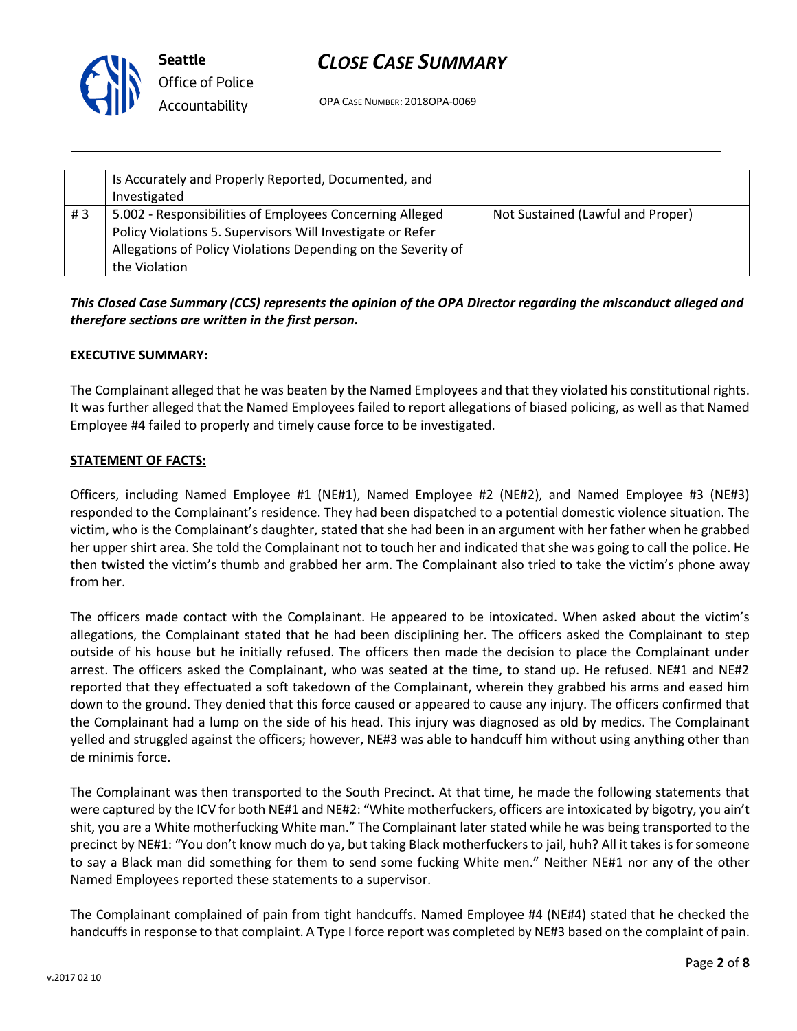

**Seattle** *Office of Police Accountability*

OPA CASE NUMBER: 2018OPA-0069

|    | Is Accurately and Properly Reported, Documented, and<br>Investigated                                                                                                                                     |                                   |
|----|----------------------------------------------------------------------------------------------------------------------------------------------------------------------------------------------------------|-----------------------------------|
| #3 | 5.002 - Responsibilities of Employees Concerning Alleged<br>Policy Violations 5. Supervisors Will Investigate or Refer<br>Allegations of Policy Violations Depending on the Severity of<br>the Violation | Not Sustained (Lawful and Proper) |

## *This Closed Case Summary (CCS) represents the opinion of the OPA Director regarding the misconduct alleged and therefore sections are written in the first person.*

## **EXECUTIVE SUMMARY:**

The Complainant alleged that he was beaten by the Named Employees and that they violated his constitutional rights. It was further alleged that the Named Employees failed to report allegations of biased policing, as well as that Named Employee #4 failed to properly and timely cause force to be investigated.

## **STATEMENT OF FACTS:**

Officers, including Named Employee #1 (NE#1), Named Employee #2 (NE#2), and Named Employee #3 (NE#3) responded to the Complainant's residence. They had been dispatched to a potential domestic violence situation. The victim, who is the Complainant's daughter, stated that she had been in an argument with her father when he grabbed her upper shirt area. She told the Complainant not to touch her and indicated that she was going to call the police. He then twisted the victim's thumb and grabbed her arm. The Complainant also tried to take the victim's phone away from her.

The officers made contact with the Complainant. He appeared to be intoxicated. When asked about the victim's allegations, the Complainant stated that he had been disciplining her. The officers asked the Complainant to step outside of his house but he initially refused. The officers then made the decision to place the Complainant under arrest. The officers asked the Complainant, who was seated at the time, to stand up. He refused. NE#1 and NE#2 reported that they effectuated a soft takedown of the Complainant, wherein they grabbed his arms and eased him down to the ground. They denied that this force caused or appeared to cause any injury. The officers confirmed that the Complainant had a lump on the side of his head. This injury was diagnosed as old by medics. The Complainant yelled and struggled against the officers; however, NE#3 was able to handcuff him without using anything other than de minimis force.

The Complainant was then transported to the South Precinct. At that time, he made the following statements that were captured by the ICV for both NE#1 and NE#2: "White motherfuckers, officers are intoxicated by bigotry, you ain't shit, you are a White motherfucking White man." The Complainant later stated while he was being transported to the precinct by NE#1: "You don't know much do ya, but taking Black motherfuckers to jail, huh? All it takes is for someone to say a Black man did something for them to send some fucking White men." Neither NE#1 nor any of the other Named Employees reported these statements to a supervisor.

The Complainant complained of pain from tight handcuffs. Named Employee #4 (NE#4) stated that he checked the handcuffs in response to that complaint. A Type I force report was completed by NE#3 based on the complaint of pain.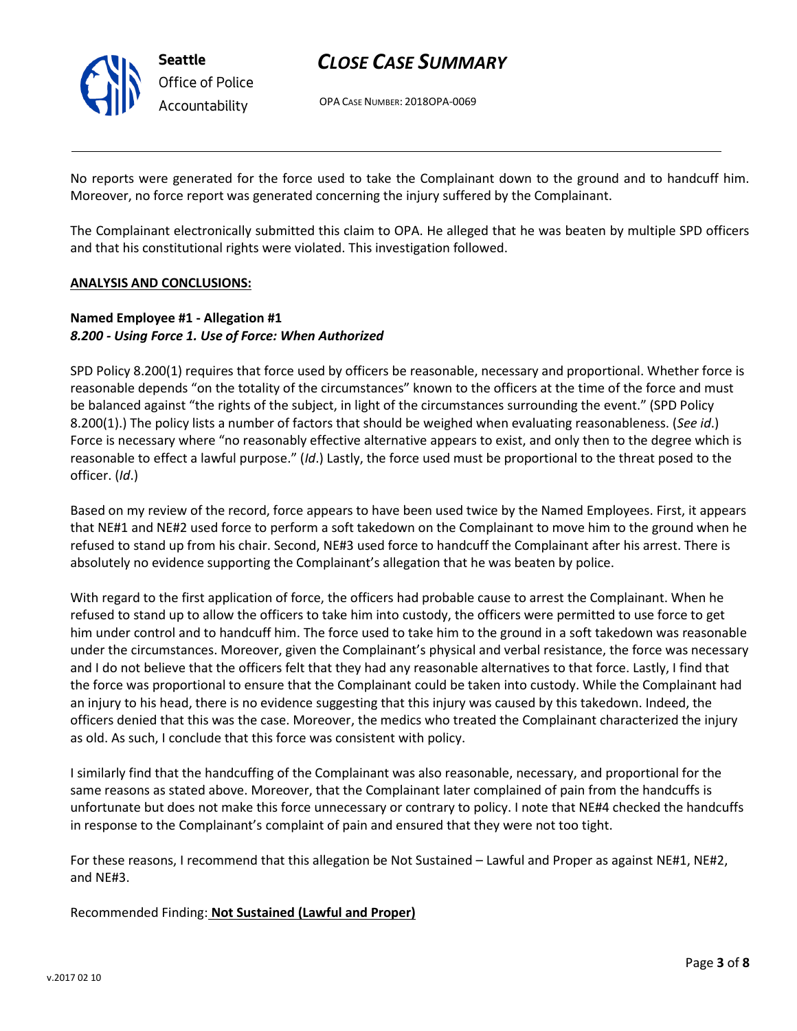

OPA CASE NUMBER: 2018OPA-0069

No reports were generated for the force used to take the Complainant down to the ground and to handcuff him. Moreover, no force report was generated concerning the injury suffered by the Complainant.

The Complainant electronically submitted this claim to OPA. He alleged that he was beaten by multiple SPD officers and that his constitutional rights were violated. This investigation followed.

#### **ANALYSIS AND CONCLUSIONS:**

## **Named Employee #1 - Allegation #1** *8.200 - Using Force 1. Use of Force: When Authorized*

SPD Policy 8.200(1) requires that force used by officers be reasonable, necessary and proportional. Whether force is reasonable depends "on the totality of the circumstances" known to the officers at the time of the force and must be balanced against "the rights of the subject, in light of the circumstances surrounding the event." (SPD Policy 8.200(1).) The policy lists a number of factors that should be weighed when evaluating reasonableness. (*See id*.) Force is necessary where "no reasonably effective alternative appears to exist, and only then to the degree which is reasonable to effect a lawful purpose." (*Id*.) Lastly, the force used must be proportional to the threat posed to the officer. (*Id*.)

Based on my review of the record, force appears to have been used twice by the Named Employees. First, it appears that NE#1 and NE#2 used force to perform a soft takedown on the Complainant to move him to the ground when he refused to stand up from his chair. Second, NE#3 used force to handcuff the Complainant after his arrest. There is absolutely no evidence supporting the Complainant's allegation that he was beaten by police.

With regard to the first application of force, the officers had probable cause to arrest the Complainant. When he refused to stand up to allow the officers to take him into custody, the officers were permitted to use force to get him under control and to handcuff him. The force used to take him to the ground in a soft takedown was reasonable under the circumstances. Moreover, given the Complainant's physical and verbal resistance, the force was necessary and I do not believe that the officers felt that they had any reasonable alternatives to that force. Lastly, I find that the force was proportional to ensure that the Complainant could be taken into custody. While the Complainant had an injury to his head, there is no evidence suggesting that this injury was caused by this takedown. Indeed, the officers denied that this was the case. Moreover, the medics who treated the Complainant characterized the injury as old. As such, I conclude that this force was consistent with policy.

I similarly find that the handcuffing of the Complainant was also reasonable, necessary, and proportional for the same reasons as stated above. Moreover, that the Complainant later complained of pain from the handcuffs is unfortunate but does not make this force unnecessary or contrary to policy. I note that NE#4 checked the handcuffs in response to the Complainant's complaint of pain and ensured that they were not too tight.

For these reasons, I recommend that this allegation be Not Sustained – Lawful and Proper as against NE#1, NE#2, and NE#3.

Recommended Finding: **Not Sustained (Lawful and Proper)**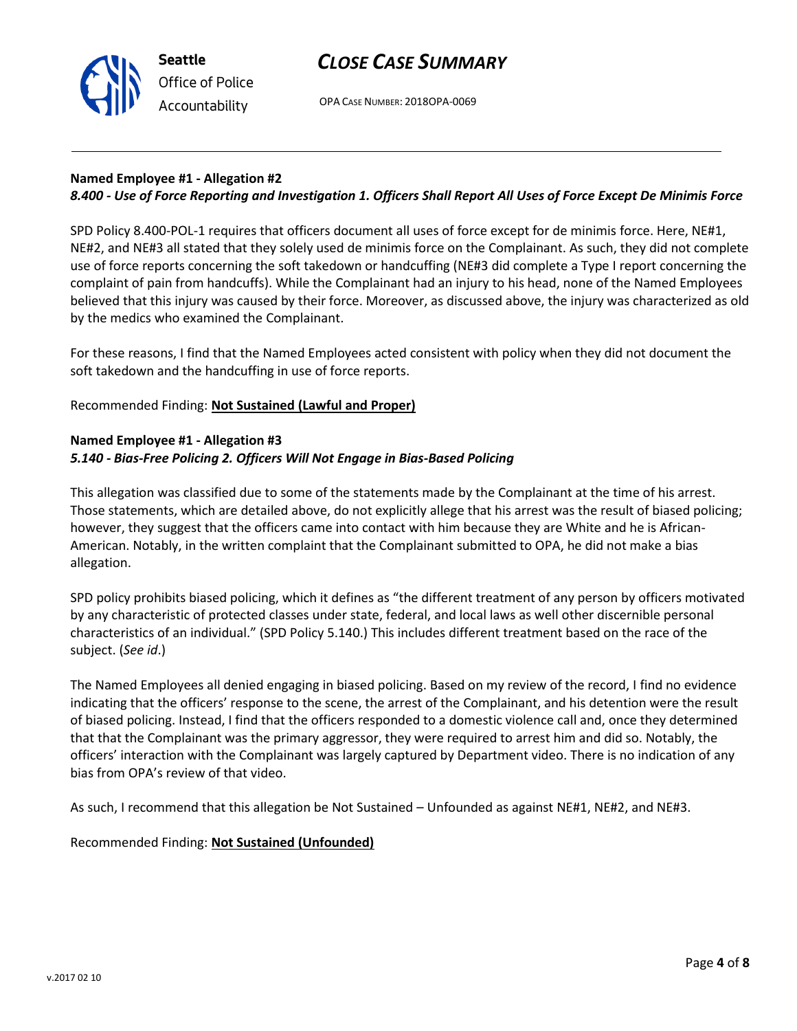



OPA CASE NUMBER: 2018OPA-0069

## **Named Employee #1 - Allegation #2**

## *8.400 - Use of Force Reporting and Investigation 1. Officers Shall Report All Uses of Force Except De Minimis Force*

SPD Policy 8.400-POL-1 requires that officers document all uses of force except for de minimis force. Here, NE#1, NE#2, and NE#3 all stated that they solely used de minimis force on the Complainant. As such, they did not complete use of force reports concerning the soft takedown or handcuffing (NE#3 did complete a Type I report concerning the complaint of pain from handcuffs). While the Complainant had an injury to his head, none of the Named Employees believed that this injury was caused by their force. Moreover, as discussed above, the injury was characterized as old by the medics who examined the Complainant.

For these reasons, I find that the Named Employees acted consistent with policy when they did not document the soft takedown and the handcuffing in use of force reports.

## Recommended Finding: **Not Sustained (Lawful and Proper)**

## **Named Employee #1 - Allegation #3** *5.140 - Bias-Free Policing 2. Officers Will Not Engage in Bias-Based Policing*

This allegation was classified due to some of the statements made by the Complainant at the time of his arrest. Those statements, which are detailed above, do not explicitly allege that his arrest was the result of biased policing; however, they suggest that the officers came into contact with him because they are White and he is African-American. Notably, in the written complaint that the Complainant submitted to OPA, he did not make a bias allegation.

SPD policy prohibits biased policing, which it defines as "the different treatment of any person by officers motivated by any characteristic of protected classes under state, federal, and local laws as well other discernible personal characteristics of an individual." (SPD Policy 5.140.) This includes different treatment based on the race of the subject. (*See id*.)

The Named Employees all denied engaging in biased policing. Based on my review of the record, I find no evidence indicating that the officers' response to the scene, the arrest of the Complainant, and his detention were the result of biased policing. Instead, I find that the officers responded to a domestic violence call and, once they determined that that the Complainant was the primary aggressor, they were required to arrest him and did so. Notably, the officers' interaction with the Complainant was largely captured by Department video. There is no indication of any bias from OPA's review of that video.

As such, I recommend that this allegation be Not Sustained – Unfounded as against NE#1, NE#2, and NE#3.

## Recommended Finding: **Not Sustained (Unfounded)**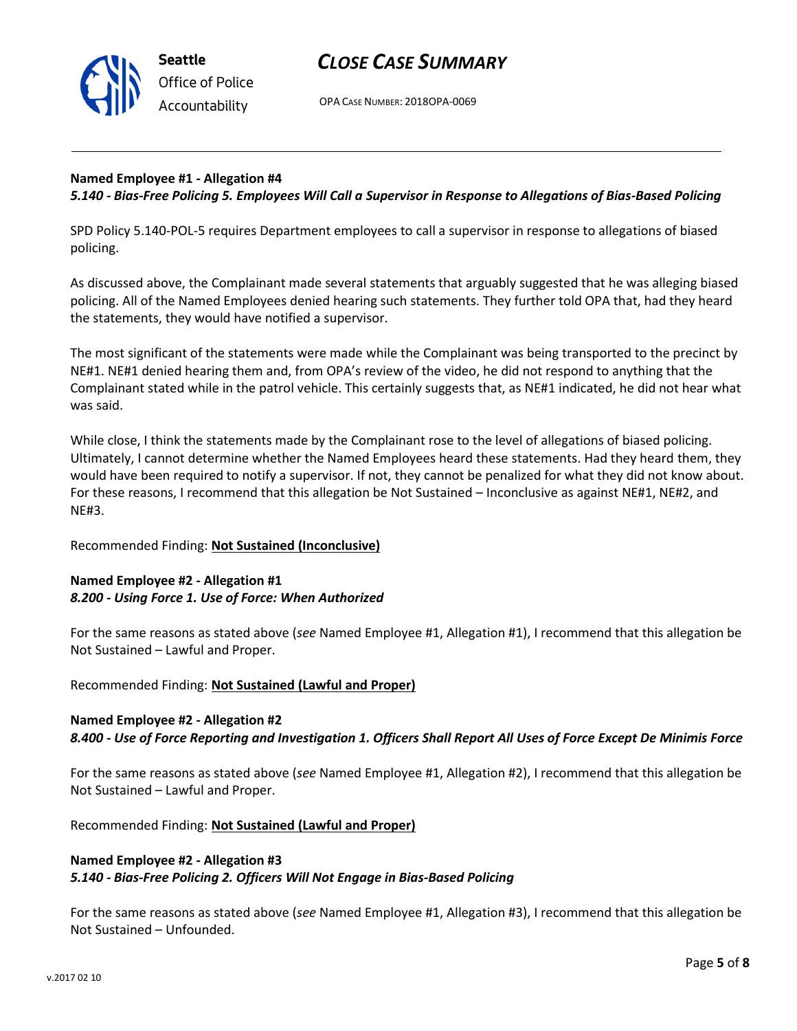

OPA CASE NUMBER: 2018OPA-0069

### **Named Employee #1 - Allegation #4**

*5.140 - Bias-Free Policing 5. Employees Will Call a Supervisor in Response to Allegations of Bias-Based Policing*

SPD Policy 5.140-POL-5 requires Department employees to call a supervisor in response to allegations of biased policing.

As discussed above, the Complainant made several statements that arguably suggested that he was alleging biased policing. All of the Named Employees denied hearing such statements. They further told OPA that, had they heard the statements, they would have notified a supervisor.

The most significant of the statements were made while the Complainant was being transported to the precinct by NE#1. NE#1 denied hearing them and, from OPA's review of the video, he did not respond to anything that the Complainant stated while in the patrol vehicle. This certainly suggests that, as NE#1 indicated, he did not hear what was said.

While close, I think the statements made by the Complainant rose to the level of allegations of biased policing. Ultimately, I cannot determine whether the Named Employees heard these statements. Had they heard them, they would have been required to notify a supervisor. If not, they cannot be penalized for what they did not know about. For these reasons, I recommend that this allegation be Not Sustained – Inconclusive as against NE#1, NE#2, and NE#3.

#### Recommended Finding: **Not Sustained (Inconclusive)**

#### **Named Employee #2 - Allegation #1** *8.200 - Using Force 1. Use of Force: When Authorized*

For the same reasons as stated above (*see* Named Employee #1, Allegation #1), I recommend that this allegation be Not Sustained – Lawful and Proper.

Recommended Finding: **Not Sustained (Lawful and Proper)**

#### **Named Employee #2 - Allegation #2**

*8.400 - Use of Force Reporting and Investigation 1. Officers Shall Report All Uses of Force Except De Minimis Force*

For the same reasons as stated above (*see* Named Employee #1, Allegation #2), I recommend that this allegation be Not Sustained – Lawful and Proper.

Recommended Finding: **Not Sustained (Lawful and Proper)**

# **Named Employee #2 - Allegation #3**

#### *5.140 - Bias-Free Policing 2. Officers Will Not Engage in Bias-Based Policing*

For the same reasons as stated above (*see* Named Employee #1, Allegation #3), I recommend that this allegation be Not Sustained – Unfounded.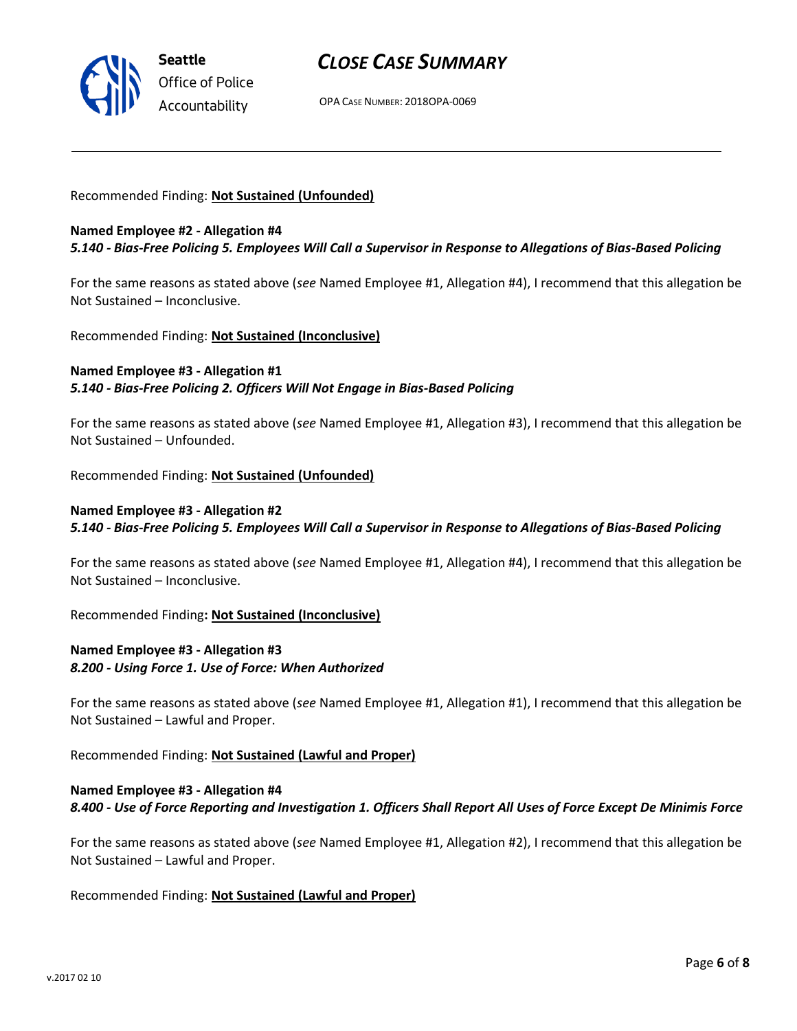

OPA CASE NUMBER: 2018OPA-0069

#### Recommended Finding: **Not Sustained (Unfounded)**

#### **Named Employee #2 - Allegation #4**

*5.140 - Bias-Free Policing 5. Employees Will Call a Supervisor in Response to Allegations of Bias-Based Policing*

For the same reasons as stated above (*see* Named Employee #1, Allegation #4), I recommend that this allegation be Not Sustained – Inconclusive.

Recommended Finding: **Not Sustained (Inconclusive)**

## **Named Employee #3 - Allegation #1** *5.140 - Bias-Free Policing 2. Officers Will Not Engage in Bias-Based Policing*

For the same reasons as stated above (*see* Named Employee #1, Allegation #3), I recommend that this allegation be Not Sustained – Unfounded.

Recommended Finding: **Not Sustained (Unfounded)**

## **Named Employee #3 - Allegation #2** *5.140 - Bias-Free Policing 5. Employees Will Call a Supervisor in Response to Allegations of Bias-Based Policing*

For the same reasons as stated above (*see* Named Employee #1, Allegation #4), I recommend that this allegation be Not Sustained – Inconclusive.

Recommended Finding**: Not Sustained (Inconclusive)**

## **Named Employee #3 - Allegation #3** *8.200 - Using Force 1. Use of Force: When Authorized*

For the same reasons as stated above (*see* Named Employee #1, Allegation #1), I recommend that this allegation be Not Sustained – Lawful and Proper.

Recommended Finding: **Not Sustained (Lawful and Proper)**

## **Named Employee #3 - Allegation #4** *8.400 - Use of Force Reporting and Investigation 1. Officers Shall Report All Uses of Force Except De Minimis Force*

For the same reasons as stated above (*see* Named Employee #1, Allegation #2), I recommend that this allegation be Not Sustained – Lawful and Proper.

Recommended Finding: **Not Sustained (Lawful and Proper)**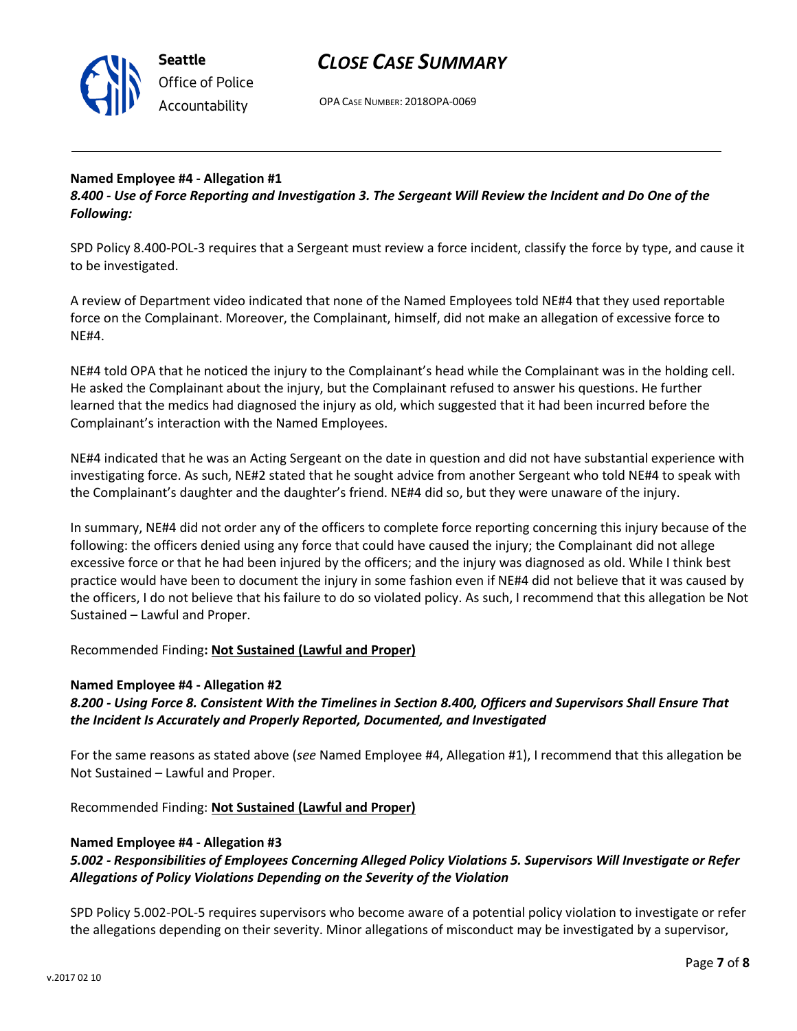

OPA CASE NUMBER: 2018OPA-0069

## **Named Employee #4 - Allegation #1**

*8.400 - Use of Force Reporting and Investigation 3. The Sergeant Will Review the Incident and Do One of the Following:*

SPD Policy 8.400-POL-3 requires that a Sergeant must review a force incident, classify the force by type, and cause it to be investigated.

A review of Department video indicated that none of the Named Employees told NE#4 that they used reportable force on the Complainant. Moreover, the Complainant, himself, did not make an allegation of excessive force to NE#4.

NE#4 told OPA that he noticed the injury to the Complainant's head while the Complainant was in the holding cell. He asked the Complainant about the injury, but the Complainant refused to answer his questions. He further learned that the medics had diagnosed the injury as old, which suggested that it had been incurred before the Complainant's interaction with the Named Employees.

NE#4 indicated that he was an Acting Sergeant on the date in question and did not have substantial experience with investigating force. As such, NE#2 stated that he sought advice from another Sergeant who told NE#4 to speak with the Complainant's daughter and the daughter's friend. NE#4 did so, but they were unaware of the injury.

In summary, NE#4 did not order any of the officers to complete force reporting concerning this injury because of the following: the officers denied using any force that could have caused the injury; the Complainant did not allege excessive force or that he had been injured by the officers; and the injury was diagnosed as old. While I think best practice would have been to document the injury in some fashion even if NE#4 did not believe that it was caused by the officers, I do not believe that his failure to do so violated policy. As such, I recommend that this allegation be Not Sustained – Lawful and Proper.

#### Recommended Finding**: Not Sustained (Lawful and Proper)**

#### **Named Employee #4 - Allegation #2**

*8.200 - Using Force 8. Consistent With the Timelines in Section 8.400, Officers and Supervisors Shall Ensure That the Incident Is Accurately and Properly Reported, Documented, and Investigated*

For the same reasons as stated above (*see* Named Employee #4, Allegation #1), I recommend that this allegation be Not Sustained – Lawful and Proper.

Recommended Finding: **Not Sustained (Lawful and Proper)**

#### **Named Employee #4 - Allegation #3**

## *5.002 - Responsibilities of Employees Concerning Alleged Policy Violations 5. Supervisors Will Investigate or Refer Allegations of Policy Violations Depending on the Severity of the Violation*

SPD Policy 5.002-POL-5 requires supervisors who become aware of a potential policy violation to investigate or refer the allegations depending on their severity. Minor allegations of misconduct may be investigated by a supervisor,